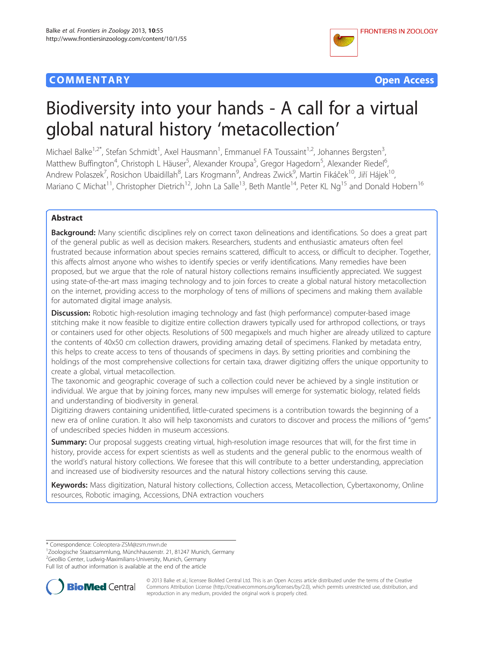## **COMMENTARY COMMENTARY Open Access**





# Biodiversity into your hands - A call for a virtual global natural history 'metacollection'

Michael Balke<sup>1,2\*</sup>, Stefan Schmidt<sup>1</sup>, Axel Hausmann<sup>1</sup>, Emmanuel FA Toussaint<sup>1,2</sup>, Johannes Bergsten<sup>3</sup> , Matthew Buffington<sup>4</sup>, Christoph L Häuser<sup>5</sup>, Alexander Kroupa<sup>5</sup>, Gregor Hagedorn<sup>5</sup>, Alexander Riedel<sup>6</sup> , Andrew Polaszek<sup>7</sup>, Rosichon Ubaidillah<sup>8</sup>, Lars Krogmann<sup>9</sup>, Andreas Zwick<sup>9</sup>, Martin Fikáček<sup>10</sup>, Jiří Hájek<sup>10</sup>, Mariano C Michat<sup>11</sup>, Christopher Dietrich<sup>12</sup>, John La Salle<sup>13</sup>, Beth Mantle<sup>14</sup>, Peter KL Ng<sup>15</sup> and Donald Hobern<sup>16</sup>

## Abstract

Background: Many scientific disciplines rely on correct taxon delineations and identifications. So does a great part of the general public as well as decision makers. Researchers, students and enthusiastic amateurs often feel frustrated because information about species remains scattered, difficult to access, or difficult to decipher. Together, this affects almost anyone who wishes to identify species or verify identifications. Many remedies have been proposed, but we argue that the role of natural history collections remains insufficiently appreciated. We suggest using state-of-the-art mass imaging technology and to join forces to create a global natural history metacollection on the internet, providing access to the morphology of tens of millions of specimens and making them available for automated digital image analysis.

**Discussion:** Robotic high-resolution imaging technology and fast (high performance) computer-based image stitching make it now feasible to digitize entire collection drawers typically used for arthropod collections, or trays or containers used for other objects. Resolutions of 500 megapixels and much higher are already utilized to capture the contents of 40x50 cm collection drawers, providing amazing detail of specimens. Flanked by metadata entry, this helps to create access to tens of thousands of specimens in days. By setting priorities and combining the holdings of the most comprehensive collections for certain taxa, drawer digitizing offers the unique opportunity to create a global, virtual metacollection.

The taxonomic and geographic coverage of such a collection could never be achieved by a single institution or individual. We argue that by joining forces, many new impulses will emerge for systematic biology, related fields and understanding of biodiversity in general.

Digitizing drawers containing unidentified, little-curated specimens is a contribution towards the beginning of a new era of online curation. It also will help taxonomists and curators to discover and process the millions of "gems" of undescribed species hidden in museum accessions.

Summary: Our proposal suggests creating virtual, high-resolution image resources that will, for the first time in history, provide access for expert scientists as well as students and the general public to the enormous wealth of the world's natural history collections. We foresee that this will contribute to a better understanding, appreciation and increased use of biodiversity resources and the natural history collections serving this cause.

Keywords: Mass digitization, Natural history collections, Collection access, Metacollection, Cybertaxonomy, Online resources, Robotic imaging, Accessions, DNA extraction vouchers

Full list of author information is available at the end of the article



© 2013 Balke et al.; licensee BioMed Central Ltd. This is an Open Access article distributed under the terms of the Creative Commons Attribution License [\(http://creativecommons.org/licenses/by/2.0\)](http://creativecommons.org/licenses/by/2.0), which permits unrestricted use, distribution, and reproduction in any medium, provided the original work is properly cited.

<sup>\*</sup> Correspondence: [Coleoptera-ZSM@zsm.mwn.de](mailto:Coleoptera-ZSM@zsm.mwn.de) <sup>1</sup>

<sup>&</sup>lt;sup>1</sup>Zoologische Staatssammlung, Münchhausenstr. 21, 81247 Munich, Germany

<sup>2</sup> GeoBio Center, Ludwig-Maximilians-University, Munich, Germany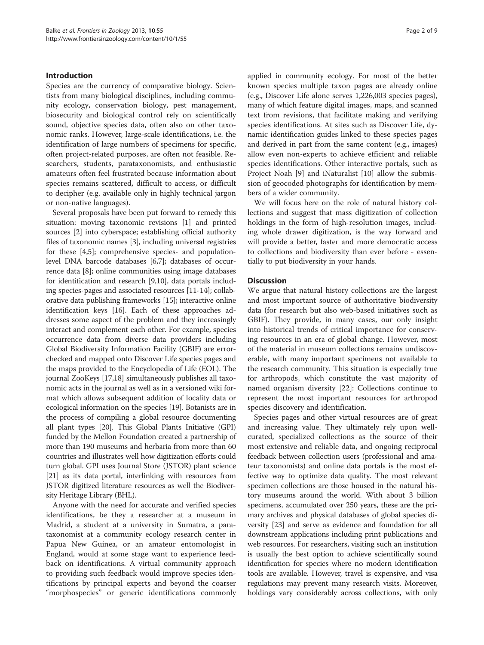## Introduction

Species are the currency of comparative biology. Scientists from many biological disciplines, including community ecology, conservation biology, pest management, biosecurity and biological control rely on scientifically sound, objective species data, often also on other taxonomic ranks. However, large-scale identifications, i.e. the identification of large numbers of specimens for specific, often project-related purposes, are often not feasible. Researchers, students, parataxonomists, and enthusiastic amateurs often feel frustrated because information about species remains scattered, difficult to access, or difficult to decipher (e.g. available only in highly technical jargon or non-native languages).

Several proposals have been put forward to remedy this situation: moving taxonomic revisions [\[1](#page-7-0)] and printed sources [\[2](#page-7-0)] into cyberspace; establishing official authority files of taxonomic names [\[3\]](#page-7-0), including universal registries for these [\[4,5](#page-7-0)]; comprehensive species- and populationlevel DNA barcode databases [[6,7\]](#page-7-0); databases of occurrence data [[8\]](#page-7-0); online communities using image databases for identification and research [[9,10](#page-7-0)], data portals including species-pages and associated resources [[11](#page-7-0)-[14](#page-7-0)]; collaborative data publishing frameworks [[15](#page-7-0)]; interactive online identification keys [\[16\]](#page-7-0). Each of these approaches addresses some aspect of the problem and they increasingly interact and complement each other. For example, species occurrence data from diverse data providers including Global Biodiversity Information Facility (GBIF) are errorchecked and mapped onto Discover Life species pages and the maps provided to the Encyclopedia of Life (EOL). The journal ZooKeys [\[17,18\]](#page-7-0) simultaneously publishes all taxonomic acts in the journal as well as in a versioned wiki format which allows subsequent addition of locality data or ecological information on the species [\[19\]](#page-7-0). Botanists are in the process of compiling a global resource documenting all plant types [[20\]](#page-7-0). This Global Plants Initiative (GPI) funded by the Mellon Foundation created a partnership of more than 190 museums and herbaria from more than 60 countries and illustrates well how digitization efforts could turn global. GPI uses Journal Store (JSTOR) plant science [[21](#page-7-0)] as its data portal, interlinking with resources from JSTOR digitized literature resources as well the Biodiversity Heritage Library (BHL).

Anyone with the need for accurate and verified species identifications, be they a researcher at a museum in Madrid, a student at a university in Sumatra, a parataxonomist at a community ecology research center in Papua New Guinea, or an amateur entomologist in England, would at some stage want to experience feedback on identifications. A virtual community approach to providing such feedback would improve species identifications by principal experts and beyond the coarser "morphospecies" or generic identifications commonly

applied in community ecology. For most of the better known species multiple taxon pages are already online (e.g., Discover Life alone serves 1,226,003 species pages), many of which feature digital images, maps, and scanned text from revisions, that facilitate making and verifying species identifications. At sites such as Discover Life, dynamic identification guides linked to these species pages and derived in part from the same content (e.g., images) allow even non-experts to achieve efficient and reliable species identifications. Other interactive portals, such as Project Noah [[9\]](#page-7-0) and iNaturalist [\[10](#page-7-0)] allow the submission of geocoded photographs for identification by members of a wider community.

We will focus here on the role of natural history collections and suggest that mass digitization of collection holdings in the form of high-resolution images, including whole drawer digitization, is the way forward and will provide a better, faster and more democratic access to collections and biodiversity than ever before - essentially to put biodiversity in your hands.

#### **Discussion**

We argue that natural history collections are the largest and most important source of authoritative biodiversity data (for research but also web-based initiatives such as GBIF). They provide, in many cases, our only insight into historical trends of critical importance for conserving resources in an era of global change. However, most of the material in museum collections remains undiscoverable, with many important specimens not available to the research community. This situation is especially true for arthropods, which constitute the vast majority of named organism diversity [[22](#page-7-0)]: Collections continue to represent the most important resources for arthropod species discovery and identification.

Species pages and other virtual resources are of great and increasing value. They ultimately rely upon wellcurated, specialized collections as the source of their most extensive and reliable data, and ongoing reciprocal feedback between collection users (professional and amateur taxonomists) and online data portals is the most effective way to optimize data quality. The most relevant specimen collections are those housed in the natural history museums around the world. With about 3 billion specimens, accumulated over 250 years, these are the primary archives and physical databases of global species diversity [\[23](#page-7-0)] and serve as evidence and foundation for all downstream applications including print publications and web resources. For researchers, visiting such an institution is usually the best option to achieve scientifically sound identification for species where no modern identification tools are available. However, travel is expensive, and visa regulations may prevent many research visits. Moreover, holdings vary considerably across collections, with only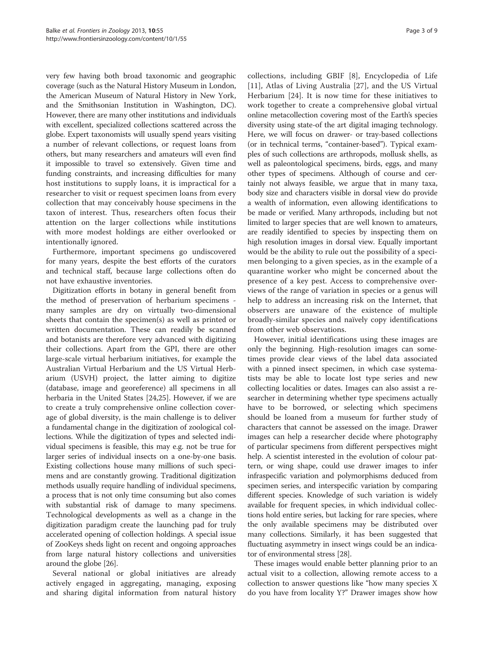very few having both broad taxonomic and geographic coverage (such as the Natural History Museum in London, the American Museum of Natural History in New York, and the Smithsonian Institution in Washington, DC). However, there are many other institutions and individuals with excellent, specialized collections scattered across the globe. Expert taxonomists will usually spend years visiting a number of relevant collections, or request loans from others, but many researchers and amateurs will even find it impossible to travel so extensively. Given time and funding constraints, and increasing difficulties for many host institutions to supply loans, it is impractical for a researcher to visit or request specimen loans from every collection that may conceivably house specimens in the taxon of interest. Thus, researchers often focus their attention on the larger collections while institutions with more modest holdings are either overlooked or intentionally ignored.

Furthermore, important specimens go undiscovered for many years, despite the best efforts of the curators and technical staff, because large collections often do not have exhaustive inventories.

Digitization efforts in botany in general benefit from the method of preservation of herbarium specimens many samples are dry on virtually two-dimensional sheets that contain the specimen(s) as well as printed or written documentation. These can readily be scanned and botanists are therefore very advanced with digitizing their collections. Apart from the GPI, there are other large-scale virtual herbarium initiatives, for example the Australian Virtual Herbarium and the US Virtual Herbarium (USVH) project, the latter aiming to digitize (database, image and georeference) all specimens in all herbaria in the United States [[24,25\]](#page-7-0). However, if we are to create a truly comprehensive online collection coverage of global diversity, is the main challenge is to deliver a fundamental change in the digitization of zoological collections. While the digitization of types and selected individual specimens is feasible, this may e.g. not be true for larger series of individual insects on a one-by-one basis. Existing collections house many millions of such specimens and are constantly growing. Traditional digitization methods usually require handling of individual specimens, a process that is not only time consuming but also comes with substantial risk of damage to many specimens. Technological developments as well as a change in the digitization paradigm create the launching pad for truly accelerated opening of collection holdings. A special issue of ZooKeys sheds light on recent and ongoing approaches from large natural history collections and universities around the globe [\[26\]](#page-7-0).

Several national or global initiatives are already actively engaged in aggregating, managing, exposing and sharing digital information from natural history

collections, including GBIF [[8\]](#page-7-0), Encyclopedia of Life [[11\]](#page-7-0), Atlas of Living Australia [\[27](#page-7-0)], and the US Virtual Herbarium [[24\]](#page-7-0). It is now time for these initiatives to work together to create a comprehensive global virtual online metacollection covering most of the Earth's species diversity using state-of the art digital imaging technology. Here, we will focus on drawer- or tray-based collections (or in technical terms, "container-based"). Typical examples of such collections are arthropods, mollusk shells, as well as paleontological specimens, birds, eggs, and many other types of specimens. Although of course and certainly not always feasible, we argue that in many taxa, body size and characters visible in dorsal view do provide a wealth of information, even allowing identifications to be made or verified. Many arthropods, including but not limited to larger species that are well known to amateurs, are readily identified to species by inspecting them on high resolution images in dorsal view. Equally important would be the ability to rule out the possibility of a specimen belonging to a given species, as in the example of a quarantine worker who might be concerned about the presence of a key pest. Access to comprehensive overviews of the range of variation in species or a genus will help to address an increasing risk on the Internet, that observers are unaware of the existence of multiple broadly-similar species and naïvely copy identifications from other web observations.

However, initial identifications using these images are only the beginning. High-resolution images can sometimes provide clear views of the label data associated with a pinned insect specimen, in which case systematists may be able to locate lost type series and new collecting localities or dates. Images can also assist a researcher in determining whether type specimens actually have to be borrowed, or selecting which specimens should be loaned from a museum for further study of characters that cannot be assessed on the image. Drawer images can help a researcher decide where photography of particular specimens from different perspectives might help. A scientist interested in the evolution of colour pattern, or wing shape, could use drawer images to infer infraspecific variation and polymorphisms deduced from specimen series, and interspecific variation by comparing different species. Knowledge of such variation is widely available for frequent species, in which individual collections hold entire series, but lacking for rare species, where the only available specimens may be distributed over many collections. Similarly, it has been suggested that fluctuating asymmetry in insect wings could be an indicator of environmental stress [\[28\]](#page-7-0).

These images would enable better planning prior to an actual visit to a collection, allowing remote access to a collection to answer questions like "how many species X do you have from locality Y?" Drawer images show how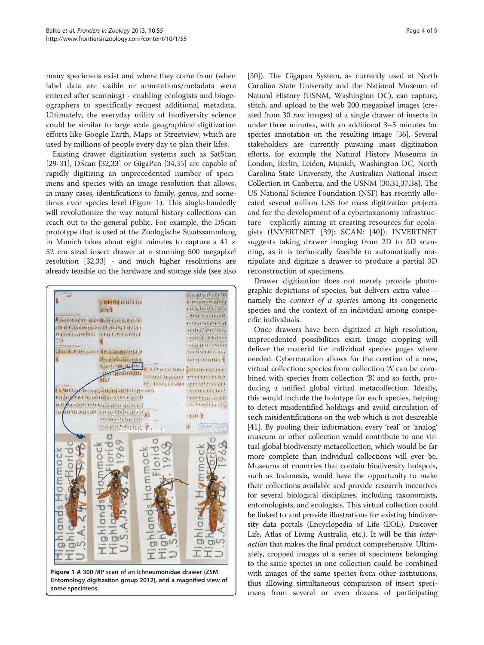many specimens exist and where they come from (when label data are visible or annotations/metadata were entered after scanning) - enabling ecologists and biogeographers to specifically request additional metadata. Ultimately, the everyday utility of biodiversity science could be similar to large scale geographical digitization efforts like Google Earth, Maps or Streetview, which are used by millions of people every day to plan their lifes.

Existing drawer digitization systems such as SatScan [[29-31](#page-7-0)], DScan [\[32,33](#page-7-0)] or GigaPan [\[34,35\]](#page-7-0) are capable of rapidly digitizing an unprecedented number of specimens and species with an image resolution that allows, in many cases, identifications to family, genus, and sometimes even species level (Figure 1). This single-handedly will revolutionize the way natural history collections can reach out to the general public. For example, the DScan prototype that is used at the Zoologische Staatssammlung in Munich takes about eight minutes to capture a  $41 \times$ 52 cm sized insect drawer at a stunning 500 megapixel resolution [\[32,33\]](#page-7-0) - and much higher resolutions are already feasible on the hardware and storage side (see also



Figure 1 A 300 MP scan of an Ichneumonidae drawer (ZSM Entomology digitization group 2012), and a magnified view of some specimens.

[[30](#page-7-0)]). The Gigapan System, as currently used at North Carolina State University and the National Museum of Natural History (USNM, Washington DC), can capture, stitch, and upload to the web 200 megapixel images (created from 30 raw images) of a single drawer of insects in under three minutes, with an additional 3–5 minutes for species annotation on the resulting image [\[36\]](#page-7-0). Several stakeholders are currently pursuing mass digitization efforts, for example the Natural History Museums in London, Berlin, Leiden, Munich, Washington DC, North Carolina State University, the Australian National Insect Collection in Canberra, and the USNM [[30,31,37,38](#page-7-0)]. The US National Science Foundation (NSF) has recently allocated several million US\$ for mass digitization projects and for the development of a cybertaxonomy infrastructure - explicitly aiming at creating resources for ecologists (INVERTNET [[39\]](#page-8-0); SCAN: [[40\]](#page-8-0)). INVERTNET suggests taking drawer imaging from 2D to 3D scanning, as it is technically feasible to automatically manipulate and digitize a drawer to produce a partial 3D reconstruction of specimens.

Drawer digitization does not merely provide photographic depictions of species, but delivers extra value – namely the *context* of a species among its congeneric species and the context of an individual among conspecific individuals.

Once drawers have been digitized at high resolution, unprecedented possibilities exist. Image cropping will deliver the material for individual species pages where needed. Cybercuration allows for the creation of a new, virtual collection: species from collection 'A' can be combined with species from collection 'B', and so forth, producing a unified global virtual metacollection. Ideally, this would include the holotype for each species, helping to detect misidentified holdings and avoid circulation of such misidentifications on the web which is not desireable [[41](#page-8-0)]. By pooling their information, every 'real' or 'analog' museum or other collection would contribute to one virtual global biodiversity metacollection, which would be far more complete than individual collections will ever be. Museums of countries that contain biodiversity hotspots, such as Indonesia, would have the opportunity to make their collections available and provide research incentives for several biological disciplines, including taxonomists, entomologists, and ecologists. This virtual collection could be linked to and provide illustrations for existing biodiversity data portals (Encyclopedia of Life (EOL), Discover Life, Atlas of Living Australia, etc.). It will be this interaction that makes the final product comprehensive. Ultimately, cropped images of a series of specimens belonging to the same species in one collection could be combined with images of the same species from other institutions, thus allowing simultaneous comparison of insect specimens from several or even dozens of participating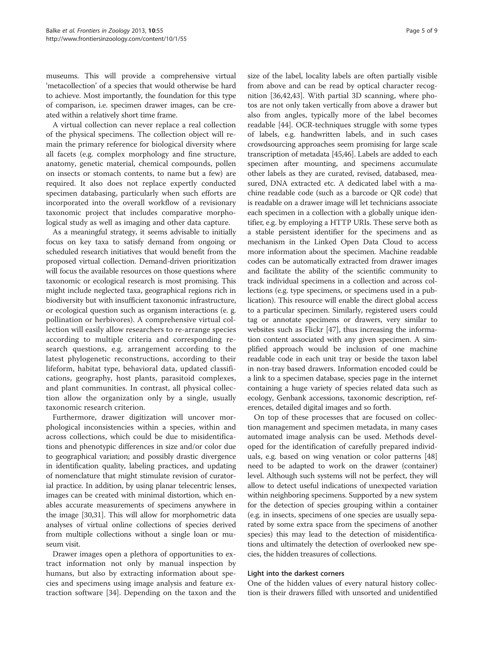museums. This will provide a comprehensive virtual 'metacollection' of a species that would otherwise be hard to achieve. Most importantly, the foundation for this type of comparison, i.e. specimen drawer images, can be created within a relatively short time frame.

A virtual collection can never replace a real collection of the physical specimens. The collection object will remain the primary reference for biological diversity where all facets (e.g. complex morphology and fine structure, anatomy, genetic material, chemical compounds, pollen on insects or stomach contents, to name but a few) are required. It also does not replace expertly conducted specimen databasing, particularly when such efforts are incorporated into the overall workflow of a revisionary taxonomic project that includes comparative morphological study as well as imaging and other data capture.

As a meaningful strategy, it seems advisable to initially focus on key taxa to satisfy demand from ongoing or scheduled research initiatives that would benefit from the proposed virtual collection. Demand-driven prioritization will focus the available resources on those questions where taxonomic or ecological research is most promising. This might include neglected taxa, geographical regions rich in biodiversity but with insufficient taxonomic infrastructure, or ecological question such as organism interactions (e. g. pollination or herbivores). A comprehensive virtual collection will easily allow researchers to re-arrange species according to multiple criteria and corresponding research questions, e.g. arrangement according to the latest phylogenetic reconstructions, according to their lifeform, habitat type, behavioral data, updated classifications, geography, host plants, parasitoid complexes, and plant communities. In contrast, all physical collection allow the organization only by a single, usually taxonomic research criterion.

Furthermore, drawer digitization will uncover morphological inconsistencies within a species, within and across collections, which could be due to misidentifications and phenotypic differences in size and/or color due to geographical variation; and possibly drastic divergence in identification quality, labeling practices, and updating of nomenclature that might stimulate revision of curatorial practice. In addition, by using planar telecentric lenses, images can be created with minimal distortion, which enables accurate measurements of specimens anywhere in the image [\[30,31\]](#page-7-0). This will allow for morphometric data analyses of virtual online collections of species derived from multiple collections without a single loan or museum visit.

Drawer images open a plethora of opportunities to extract information not only by manual inspection by humans, but also by extracting information about species and specimens using image analysis and feature extraction software [[34](#page-7-0)]. Depending on the taxon and the

size of the label, locality labels are often partially visible from above and can be read by optical character recognition [[36,](#page-7-0)[42,43\]](#page-8-0). With partial 3D scanning, where photos are not only taken vertically from above a drawer but also from angles, typically more of the label becomes readable [[44](#page-8-0)]. OCR-techniques struggle with some types of labels, e.g. handwritten labels, and in such cases crowdsourcing approaches seem promising for large scale transcription of metadata [\[45,46\]](#page-8-0). Labels are added to each specimen after mounting, and specimens accumulate other labels as they are curated, revised, databased, measured, DNA extracted etc. A dedicated label with a machine readable code (such as a barcode or QR code) that is readable on a drawer image will let technicians associate each specimen in a collection with a globally unique identifier, e.g. by employing a HTTP URIs. These serve both as a stable persistent identifier for the specimens and as mechanism in the Linked Open Data Cloud to access more information about the specimen. Machine readable codes can be automatically extracted from drawer images and facilitate the ability of the scientific community to track individual specimens in a collection and across collections (e.g. type specimens, or specimens used in a publication). This resource will enable the direct global access to a particular specimen. Similarly, registered users could tag or annotate specimens or drawers, very similar to websites such as Flickr [\[47\]](#page-8-0), thus increasing the information content associated with any given specimen. A simplified approach would be inclusion of one machine readable code in each unit tray or beside the taxon label in non-tray based drawers. Information encoded could be a link to a specimen database, species page in the internet containing a huge variety of species related data such as ecology, Genbank accessions, taxonomic description, references, detailed digital images and so forth.

On top of these processes that are focused on collection management and specimen metadata, in many cases automated image analysis can be used. Methods developed for the identification of carefully prepared individuals, e.g. based on wing venation or color patterns [[48](#page-8-0)] need to be adapted to work on the drawer (container) level. Although such systems will not be perfect, they will allow to detect useful indications of unexpected variation within neighboring specimens. Supported by a new system for the detection of species grouping within a container (e.g. in insects, specimens of one species are usually separated by some extra space from the specimens of another species) this may lead to the detection of misidentifications and ultimately the detection of overlooked new species, the hidden treasures of collections.

#### Light into the darkest corners

One of the hidden values of every natural history collection is their drawers filled with unsorted and unidentified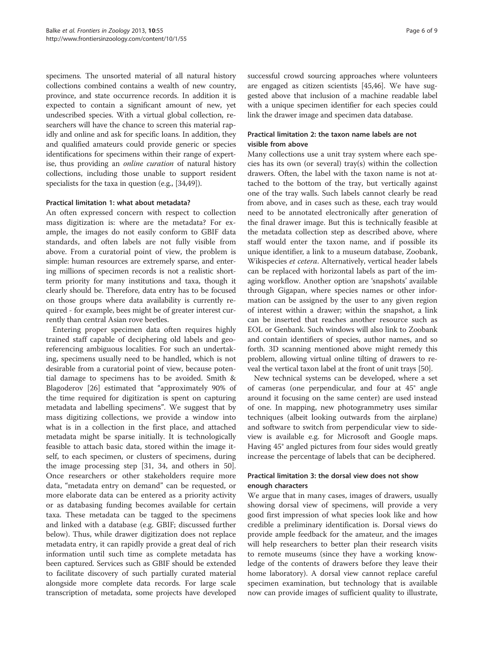specimens. The unsorted material of all natural history collections combined contains a wealth of new country, province, and state occurrence records. In addition it is expected to contain a significant amount of new, yet undescribed species. With a virtual global collection, researchers will have the chance to screen this material rapidly and online and ask for specific loans. In addition, they and qualified amateurs could provide generic or species identifications for specimens within their range of expertise, thus providing an online curation of natural history collections, including those unable to support resident specialists for the taxa in question (e.g., [[34](#page-7-0),[49](#page-8-0)]).

## Practical limitation 1: what about metadata?

An often expressed concern with respect to collection mass digitization is: where are the metadata? For example, the images do not easily conform to GBIF data standards, and often labels are not fully visible from above. From a curatorial point of view, the problem is simple: human resources are extremely sparse, and entering millions of specimen records is not a realistic shortterm priority for many institutions and taxa, though it clearly should be. Therefore, data entry has to be focused on those groups where data availability is currently required - for example, bees might be of greater interest currently than central Asian rove beetles.

Entering proper specimen data often requires highly trained staff capable of deciphering old labels and georeferencing ambiguous localities. For such an undertaking, specimens usually need to be handled, which is not desirable from a curatorial point of view, because potential damage to specimens has to be avoided. Smith & Blagoderov [\[26](#page-7-0)] estimated that "approximately 90% of the time required for digitization is spent on capturing metadata and labelling specimens". We suggest that by mass digitizing collections, we provide a window into what is in a collection in the first place, and attached metadata might be sparse initially. It is technologically feasible to attach basic data, stored within the image itself, to each specimen, or clusters of specimens, during the image processing step [31, 34, and others in 50]. Once researchers or other stakeholders require more data, "metadata entry on demand" can be requested, or more elaborate data can be entered as a priority activity or as databasing funding becomes available for certain taxa. These metadata can be tagged to the specimens and linked with a database (e.g. GBIF; discussed further below). Thus, while drawer digitization does not replace metadata entry, it can rapidly provide a great deal of rich information until such time as complete metadata has been captured. Services such as GBIF should be extended to facilitate discovery of such partially curated material alongside more complete data records. For large scale transcription of metadata, some projects have developed

successful crowd sourcing approaches where volunteers are engaged as citizen scientists [[45,46](#page-8-0)]. We have suggested above that inclusion of a machine readable label with a unique specimen identifier for each species could link the drawer image and specimen data database.

## Practical limitation 2: the taxon name labels are not visible from above

Many collections use a unit tray system where each species has its own (or several) tray(s) within the collection drawers. Often, the label with the taxon name is not attached to the bottom of the tray, but vertically against one of the tray walls. Such labels cannot clearly be read from above, and in cases such as these, each tray would need to be annotated electronically after generation of the final drawer image. But this is technically feasible at the metadata collection step as described above, where staff would enter the taxon name, and if possible its unique identifier, a link to a museum database, Zoobank, Wikispecies et cetera. Alternatively, vertical header labels can be replaced with horizontal labels as part of the imaging workflow. Another option are 'snapshots' available through Gigapan, where species names or other information can be assigned by the user to any given region of interest within a drawer; within the snapshot, a link can be inserted that reaches another resource such as EOL or Genbank. Such windows will also link to Zoobank and contain identifiers of species, author names, and so forth. 3D scanning mentioned above might remedy this problem, allowing virtual online tilting of drawers to reveal the vertical taxon label at the front of unit trays [[50](#page-8-0)].

New technical systems can be developed, where a set of cameras (one perpendicular, and four at 45° angle around it focusing on the same center) are used instead of one. In mapping, new photogrammetry uses similar techniques (albeit looking outwards from the airplane) and software to switch from perpendicular view to sideview is available e.g. for Microsoft and Google maps. Having 45° angled pictures from four sides would greatly increase the percentage of labels that can be deciphered.

## Practical limitation 3: the dorsal view does not show enough characters

We argue that in many cases, images of drawers, usually showing dorsal view of specimens, will provide a very good first impression of what species look like and how credible a preliminary identification is. Dorsal views do provide ample feedback for the amateur, and the images will help researchers to better plan their research visits to remote museums (since they have a working knowledge of the contents of drawers before they leave their home laboratory). A dorsal view cannot replace careful specimen examination, but technology that is available now can provide images of sufficient quality to illustrate,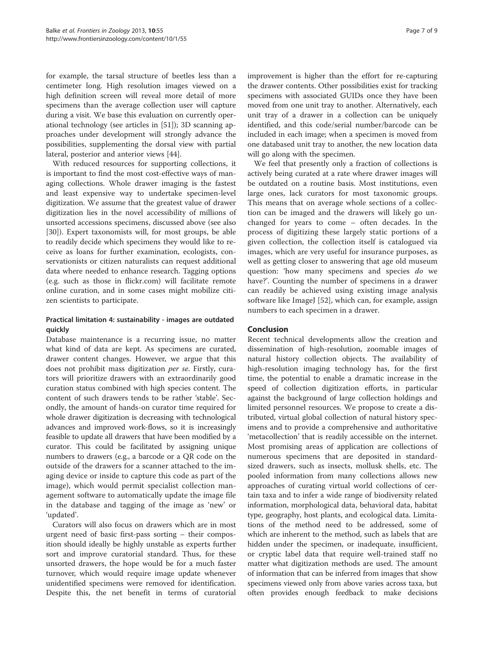for example, the tarsal structure of beetles less than a centimeter long. High resolution images viewed on a high definition screen will reveal more detail of more specimens than the average collection user will capture during a visit. We base this evaluation on currently operational technology (see articles in [\[51\]](#page-8-0)); 3D scanning approaches under development will strongly advance the possibilities, supplementing the dorsal view with partial lateral, posterior and anterior views [\[44](#page-8-0)].

With reduced resources for supporting collections, it is important to find the most cost-effective ways of managing collections. Whole drawer imaging is the fastest and least expensive way to undertake specimen-level digitization. We assume that the greatest value of drawer digitization lies in the novel accessibility of millions of unsorted accessions specimens, discussed above (see also [[30\]](#page-7-0)). Expert taxonomists will, for most groups, be able to readily decide which specimens they would like to receive as loans for further examination, ecologists, conservationists or citizen naturalists can request additional data where needed to enhance research. Tagging options (e.g. such as those in flickr.com) will facilitate remote online curation, and in some cases might mobilize citizen scientists to participate.

## Practical limitation 4: sustainability - images are outdated quickly

Database maintenance is a recurring issue, no matter what kind of data are kept. As specimens are curated, drawer content changes. However, we argue that this does not prohibit mass digitization per se. Firstly, curators will prioritize drawers with an extraordinarily good curation status combined with high species content. The content of such drawers tends to be rather 'stable'. Secondly, the amount of hands-on curator time required for whole drawer digitization is decreasing with technological advances and improved work-flows, so it is increasingly feasible to update all drawers that have been modified by a curator. This could be facilitated by assigning unique numbers to drawers (e.g., a barcode or a QR code on the outside of the drawers for a scanner attached to the imaging device or inside to capture this code as part of the image), which would permit specialist collection management software to automatically update the image file in the database and tagging of the image as 'new' or 'updated'.

Curators will also focus on drawers which are in most urgent need of basic first-pass sorting – their composition should ideally be highly unstable as experts further sort and improve curatorial standard. Thus, for these unsorted drawers, the hope would be for a much faster turnover, which would require image update whenever unidentified specimens were removed for identification. Despite this, the net benefit in terms of curatorial

improvement is higher than the effort for re-capturing the drawer contents. Other possibilities exist for tracking specimens with associated GUIDs once they have been moved from one unit tray to another. Alternatively, each unit tray of a drawer in a collection can be uniquely identified, and this code/serial number/barcode can be included in each image; when a specimen is moved from one databased unit tray to another, the new location data will go along with the specimen.

We feel that presently only a fraction of collections is actively being curated at a rate where drawer images will be outdated on a routine basis. Most institutions, even large ones, lack curators for most taxonomic groups. This means that on average whole sections of a collection can be imaged and the drawers will likely go unchanged for years to come – often decades. In the process of digitizing these largely static portions of a given collection, the collection itself is catalogued via images, which are very useful for insurance purposes, as well as getting closer to answering that age old museum question: 'how many specimens and species do we have?'. Counting the number of specimens in a drawer can readily be achieved using existing image analysis software like ImageJ [\[52](#page-8-0)], which can, for example, assign numbers to each specimen in a drawer.

## Conclusion

Recent technical developments allow the creation and dissemination of high-resolution, zoomable images of natural history collection objects. The availability of high-resolution imaging technology has, for the first time, the potential to enable a dramatic increase in the speed of collection digitization efforts, in particular against the background of large collection holdings and limited personnel resources. We propose to create a distributed, virtual global collection of natural history specimens and to provide a comprehensive and authoritative 'metacollection' that is readily accessible on the internet. Most promising areas of application are collections of numerous specimens that are deposited in standardsized drawers, such as insects, mollusk shells, etc. The pooled information from many collections allows new approaches of curating virtual world collections of certain taxa and to infer a wide range of biodiversity related information, morphological data, behavioral data, habitat type, geography, host plants, and ecological data. Limitations of the method need to be addressed, some of which are inherent to the method, such as labels that are hidden under the specimen, or inadequate, insufficient, or cryptic label data that require well-trained staff no matter what digitization methods are used. The amount of information that can be inferred from images that show specimens viewed only from above varies across taxa, but often provides enough feedback to make decisions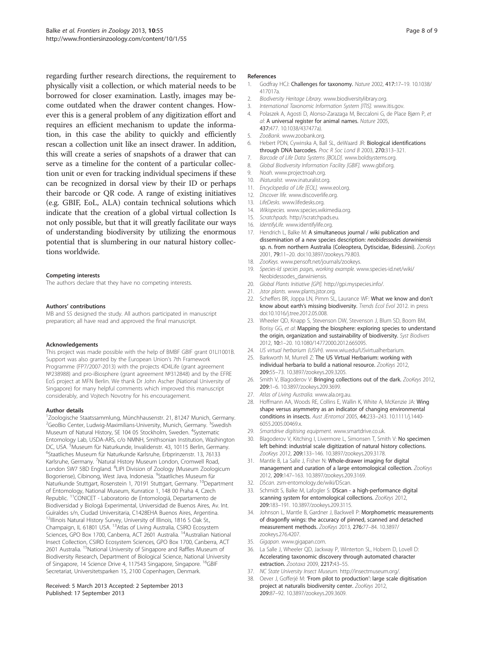<span id="page-7-0"></span>regarding further research directions, the requirement to physically visit a collection, or which material needs to be borrowed for closer examination. Lastly, images may become outdated when the drawer content changes. However this is a general problem of any digitization effort and requires an efficient mechanism to update the information, in this case the ability to quickly and efficiently rescan a collection unit like an insect drawer. In addition, this will create a series of snapshots of a drawer that can serve as a timeline for the content of a particular collection unit or even for tracking individual specimens if these can be recognized in dorsal view by their ID or perhaps their barcode or QR code. A range of existing initiatives (e.g. GBIF, EoL, ALA) contain technical solutions which indicate that the creation of a global virtual collection Is not only possible, but that it will greatly facilitate our ways of understanding biodiversity by utilizing the enormous potential that is slumbering in our natural history collections worldwide.

#### Competing interests

The authors declare that they have no competing interests.

#### Authors' contributions

MB and SS designed the study. All authors participated in manuscript preparation; all have read and approved the final manuscript.

#### Acknowledgements

This project was made possible with the help of BMBF GBIF grant 01LI1001B. Support was also granted by the European Union's 7th Framework Programme (FP7/2007-2013) with the projects 4D4Life (grant agreement №238988) and pro-iBiosphere (grant agreement №312848) and by the EFRE EoS project at MFN Berlin. We thank Dr John Ascher (National University of Singapore) for many helpful comments which improved this manuscript considerably, and Vojtech Novotny for his encouragement.

#### Author details

1 Zoologische Staatssammlung, Münchhausenstr. 21, 81247 Munich, Germany. <sup>2</sup>GeoBio Center, Ludwig-Maximilians-University, Munich, Germany. <sup>3</sup>Swedish Museum of Natural History, SE 104 05 Stockholm, Sweden. <sup>4</sup>Systematic Entomology Lab, USDA-ARS, c/o NMNH, Smithsonian Institution, Washington DC, USA. <sup>5</sup>Museum für Naturkunde, Invalidenstr. 43, 10115 Berlin, Germany.<br><sup>6</sup>Staatliches Museum für Naturkunde Karlsruhe, Erborinzenstr. 13, 76133. Staatliches Museum für Naturkunde Karlsruhe, Erbprinzenstr. 13, 76133 Karlsruhe, Germany. <sup>7</sup>Natural History Museum London, Cromwell Road, London SW7 5BD England. <sup>8</sup>LIPI Division of Zoology (Museum Zoologicum Bogoriense), Cibinong, West Java, Indonesia. <sup>9</sup>Staatliches Museum für Naturkunde Stuttgart, Rosenstein 1, 70191 Stuttgart, Germany. <sup>10</sup>Department of Entomology, National Museum, Kunratice 1, 148 00 Praha 4, Czech Republic. <sup>11</sup>CONICET - Laboratorio de Entomologiá, Departamento de Biodiversidad y Biologá Experimental, Universidad de Buenos Aires, Av. Int. Guïraldes s/n, Ciudad Universitaria, C1428EHA Buenos Aires, Argentina. <sup>12</sup>Illinois Natural History Survey, University of Illinois, 1816 S Oak St., Champaign, IL 61801 USA. 13Atlas of Living Australia, CSIRO Ecosystem Sciences, GPO Box 1700, Canberra, ACT 2601 Australia. <sup>14</sup>Australian National Insect Collection, CSIRO Ecosystem Sciences, GPO Box 1700, Canberra, ACT 2601 Australia. <sup>15</sup>National University of Singapore and Raffles Museum of Biodiversity Research, Department of Biological Science, National University of Singapore, 14 Science Drive 4, 117543 Singapore, Singapore. <sup>16</sup>GBIF Secretariat, Universitetsparken 15, 2100 Copenhagen, Denmark.

#### Received: 5 March 2013 Accepted: 2 September 2013 Published: 17 September 2013

#### References

- 1. Godfray HCJ: Challenges for taxonomy. Nature 2002, 417:17–19. 10.1038/ 417017a.
- 2. Biodiversity Heritage Library. [www.biodiversitylibrary.org.](http://www.biodiversitylibrary.org)
- 3. International Taxonomic Information System [ITIS]. [www.itis.gov.](http://www.itis.gov)
- 4. Polaszek A, Agosti D, Alonso-Zarazaga M, Beccaloni G, de Place Bjørn P, et al: A universal register for animal names. Nature 2005, 437:477. 10.1038/437477a).
- 5. ZooBank. [www.zoobank.org.](http://www.zoobank.org)
- 6. Hebert PDN, Cywinska A, Ball SL, deWaard JR: Biological identifications through DNA barcodes. Proc R Soc Lond B 2003, 270:313–321.
- 7. Barcode of Life Data Systems [BOLD]. [www.boldsystems.org](http://www.boldsystems.org).
- 8. Global Biodiversity Information Facility [GBIF]. [www.gbif.org](http://www.gbif.org).
- 9. Noah. [www.projectnoah.org](http://www.projectnoah.org).
- 10. iNaturalist. [www.inaturalist.org.](http://www.inaturalist.org)
- 11. Encyclopedia of Life [EOL], [www.eol.org.](http://www.eol.org)
- 12. Discover life. [www.discoverlife.org.](http://www.discoverlife.org)
- 13. LifeDesks. [www.lifedesks.org](http://www.lifedesks.org).
- 14. Wikispecies. www.species.wikimedia.org.
- 15. Scratchpads. <http://scratchpads.eu>.
- 16. IdentifyLife. [www.identifylife.org.](http://www.identifylife.org)
- 17. Hendrich L, Balke M: A simultaneous journal / wiki publication and dissemination of a new species description: neobidessodes darwiniensis sp. n. from northern Australia (Coleoptera, Dytiscidae, Bidessini). ZooKeys 2001, 79:11–20. doi:10.3897/zookeys.79.803.
- 18. ZooKeys. [www.pensoft.net/journals/zookeys](http://www.pensoft.net/journals/zookeys).
- 19. Species-Id species pages, working example. [www.species-id.net/wiki/](http://www.species-id.net/wiki/Neobidessodes_darwiniensis) [Neobidessodes\\_darwiniensis](http://www.species-id.net/wiki/Neobidessodes_darwiniensis).
- 20. Global Plants Initiative [GPI]. [http://gpi.myspecies.info/.](http://gpi.myspecies.info/)
- 21. Jstor plants. [www.plants.jstor.org](http://www.plants.jstor.org).
- 22. Scheffers BR, Joppa LN, Pimm SL, Laurance WF: What we know and don't know about earth's missing biodiversity. Trends Ecol Evol 2012. in press doi:10.1016/j.tree.2012.05.008.
- 23. Wheeler QD, Knapp S, Stevenson DW, Stevenson J, Blum SD, Boom BM, Borisy GG, et al: Mapping the biosphere: exploring species to understand the origin, organization and sustainability of biodiversity. Syst Biodivers 2012, 10:1–20. 10.1080/14772000.2012.665095.
- 24. US virtual herbarium (USVH). [www.wiu.edu/USvirtualherbarium.](http://www.wiu.edu/USvirtualherbarium)
- 25. Barkworth M, Murrell Z: The US Virtual Herbarium: working with individual herbaria to build a national resource. ZooKeys 2012, 209:55–73. 10.3897/zookeys.209.3205.
- 26. Smith V, Blagoderov V: Bringing collections out of the dark. ZooKeys 2012, 209:1–6. 10.3897/zookeys.209.3699.
- 27. Atlas of Living Australia. [www.ala.org.au](http://www.ala.org.au).
- 28. Hoffmann AA, Woods RE, Collins E, Wallin K, White A, McKenzie JA: Wing shape versus asymmetry as an indicator of changing environmental conditions in insects. Aust JEntomol 2005, 44:233–243. 10.1111/j.1440- 6055.2005.00469.x.
- 29. Smartdrive digitising equipment. [www.smartdrive.co.uk.](http://www.smartdrive.co.uk)
- 30. Blagoderov V, Kitching I, Livermore L, Simonsen T, Smith V: No specimen left behind: industrial scale digitization of natural history collections. ZooKeys 2012, 209:133–146. 10.3897/zookeys.209.3178.
- 31. Mantle B, La Salle J, Fisher N: Whole-drawer imaging for digital management and curation of a large entomological collection. ZooKeys 2012, 209:147–163. 10.3897/zookeys.209.3169.
- 32. DScan. zsm-entomology.de/wiki/DScan.
- 33. Schmidt S, Balke M, Lafogler S: DScan a high-performance digital scanning system for entomological collections. ZooKeys 2012, 209:183–191. 10.3897/zookeys.209.3115.
- 34. Johnson L, Mantle B, Gardner J, Backwell P: Morphometric measurements of dragonfly wings: the accuracy of pinned, scanned and detached measurement methods. ZooKeys 2013, 276:77–84. 10.3897/ zookeys.276.4207.
- 35. Gigapan. [www.gigapan.com](http://www.gigapan.com).
- 36. La Salle J, Wheeler QD, Jackway P, Winterton SL, Hobern D, Lovell D: Accelerating taxonomic discovery through automated character extraction. Zootaxa 2009, 2217:43–55.
- 37. NC State University Insect Museum. <http://insectmuseum.org/>.
- 38. Oever J, Gofferjé M: 'From pilot to production': large scale digitisation project at naturalis biodiversity center. ZooKeys 2012, 209:87–92. 10.3897/zookeys.209.3609.